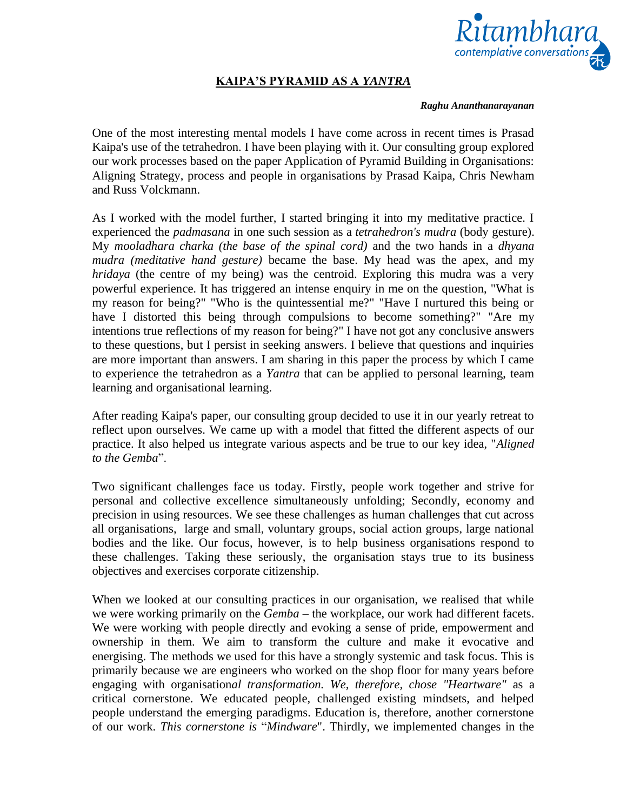

## **KAIPA'S PYRAMID AS A** *YANTRA*

## *Raghu Ananthanarayanan*

One of the most interesting mental models I have come across in recent times is Prasad Kaipa's use of the tetrahedron. I have been playing with it. Our consulting group explored our work processes based on the paper Application of Pyramid Building in Organisations: Aligning Strategy, process and people in organisations by Prasad Kaipa, Chris Newham and Russ Volckmann.

As I worked with the model further, I started bringing it into my meditative practice. I experienced the *padmasana* in one such session as a *tetrahedron's mudra* (body gesture). My *mooladhara charka (the base of the spinal cord)* and the two hands in a *dhyana mudra (meditative hand gesture)* became the base. My head was the apex, and my *hridaya* (the centre of my being) was the centroid. Exploring this mudra was a very powerful experience. It has triggered an intense enquiry in me on the question, "What is my reason for being?" "Who is the quintessential me?" "Have I nurtured this being or have I distorted this being through compulsions to become something?" "Are my intentions true reflections of my reason for being?" I have not got any conclusive answers to these questions, but I persist in seeking answers. I believe that questions and inquiries are more important than answers. I am sharing in this paper the process by which I came to experience the tetrahedron as a *Yantra* that can be applied to personal learning, team learning and organisational learning.

After reading Kaipa's paper, our consulting group decided to use it in our yearly retreat to reflect upon ourselves. We came up with a model that fitted the different aspects of our practice. It also helped us integrate various aspects and be true to our key idea, "*Aligned to the Gemba*".

Two significant challenges face us today. Firstly, people work together and strive for personal and collective excellence simultaneously unfolding; Secondly, economy and precision in using resources. We see these challenges as human challenges that cut across all organisations, large and small, voluntary groups, social action groups, large national bodies and the like. Our focus, however, is to help business organisations respond to these challenges. Taking these seriously, the organisation stays true to its business objectives and exercises corporate citizenship.

When we looked at our consulting practices in our organisation, we realised that while we were working primarily on the *Gemba* – the workplace, our work had different facets. We were working with people directly and evoking a sense of pride, empowerment and ownership in them. We aim to transform the culture and make it evocative and energising. The methods we used for this have a strongly systemic and task focus. This is primarily because we are engineers who worked on the shop floor for many years before engaging with organisation*al transformation. We, therefore, chose "Heartware"* as a critical cornerstone. We educated people, challenged existing mindsets, and helped people understand the emerging paradigms. Education is, therefore, another cornerstone of our work. *This cornerstone is* "*Mindware*". Thirdly, we implemented changes in the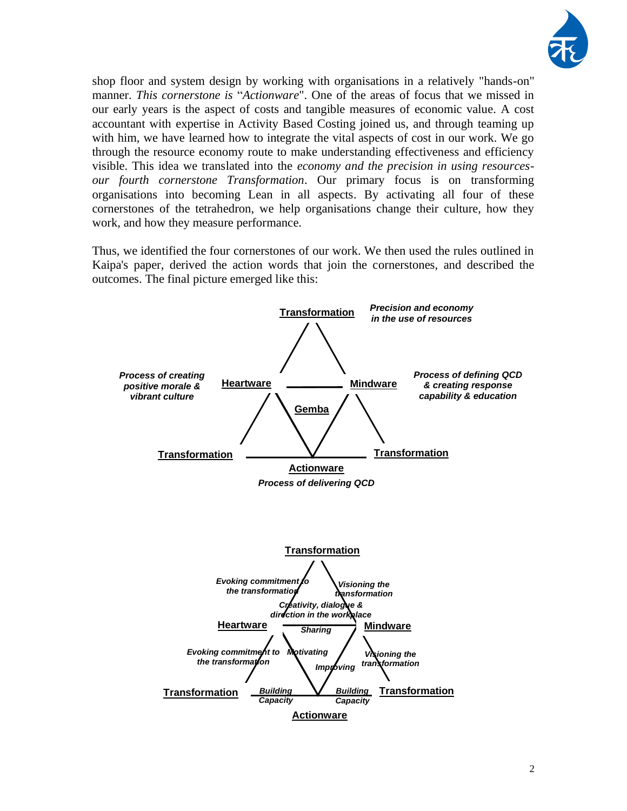

shop floor and system design by working with organisations in a relatively "hands-on" manner. *This cornerstone is* "*Actionware*". One of the areas of focus that we missed in our early years is the aspect of costs and tangible measures of economic value. A cost accountant with expertise in Activity Based Costing joined us, and through teaming up with him, we have learned how to integrate the vital aspects of cost in our work. We go through the resource economy route to make understanding effectiveness and efficiency visible. This idea we translated into the *economy and the precision in using resourcesour fourth cornerstone Transformation*. Our primary focus is on transforming organisations into becoming Lean in all aspects. By activating all four of these cornerstones of the tetrahedron, we help organisations change their culture, how they work, and how they measure performance.

Thus, we identified the four cornerstones of our work. We then used the rules outlined in Kaipa's paper, derived the action words that join the cornerstones, and described the outcomes. The final picture emerged like this:

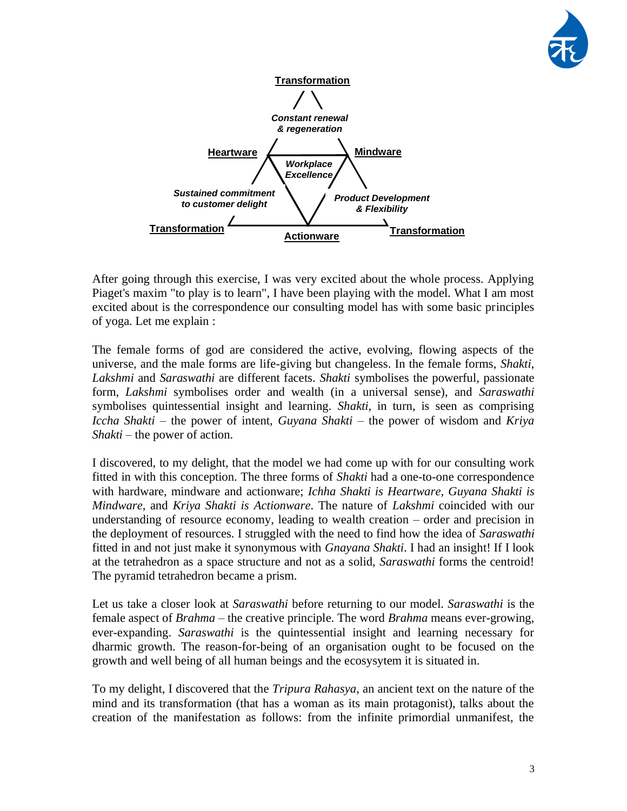



After going through this exercise, I was very excited about the whole process. Applying Piaget's maxim "to play is to learn", I have been playing with the model. What I am most excited about is the correspondence our consulting model has with some basic principles of yoga. Let me explain :

The female forms of god are considered the active, evolving, flowing aspects of the universe, and the male forms are life-giving but changeless. In the female forms, *Shakti*, *Lakshmi* and *Saraswathi* are different facets. *Shakti* symbolises the powerful, passionate form, *Lakshmi* symbolises order and wealth (in a universal sense), and *Saraswathi* symbolises quintessential insight and learning. *Shakti*, in turn, is seen as comprising *Iccha Shakti* – the power of intent, *Guyana Shakti* – the power of wisdom and *Kriya Shakti* – the power of action.

I discovered, to my delight, that the model we had come up with for our consulting work fitted in with this conception. The three forms of *Shakti* had a one-to-one correspondence with hardware, mindware and actionware; *Ichha Shakti is Heartware*, *Guyana Shakti is Mindware*, and *Kriya Shakti is Actionware*. The nature of *Lakshmi* coincided with our understanding of resource economy, leading to wealth creation – order and precision in the deployment of resources. I struggled with the need to find how the idea of *Saraswathi* fitted in and not just make it synonymous with *Gnayana Shakti*. I had an insight! If I look at the tetrahedron as a space structure and not as a solid, *Saraswathi* forms the centroid! The pyramid tetrahedron became a prism.

Let us take a closer look at *Saraswathi* before returning to our model. *Saraswathi* is the female aspect of *Brahma* – the creative principle. The word *Brahma* means ever-growing, ever-expanding. *Saraswathi* is the quintessential insight and learning necessary for dharmic growth. The reason-for-being of an organisation ought to be focused on the growth and well being of all human beings and the ecosysytem it is situated in.

To my delight, I discovered that the *Tripura Rahasya*, an ancient text on the nature of the mind and its transformation (that has a woman as its main protagonist), talks about the creation of the manifestation as follows: from the infinite primordial unmanifest, the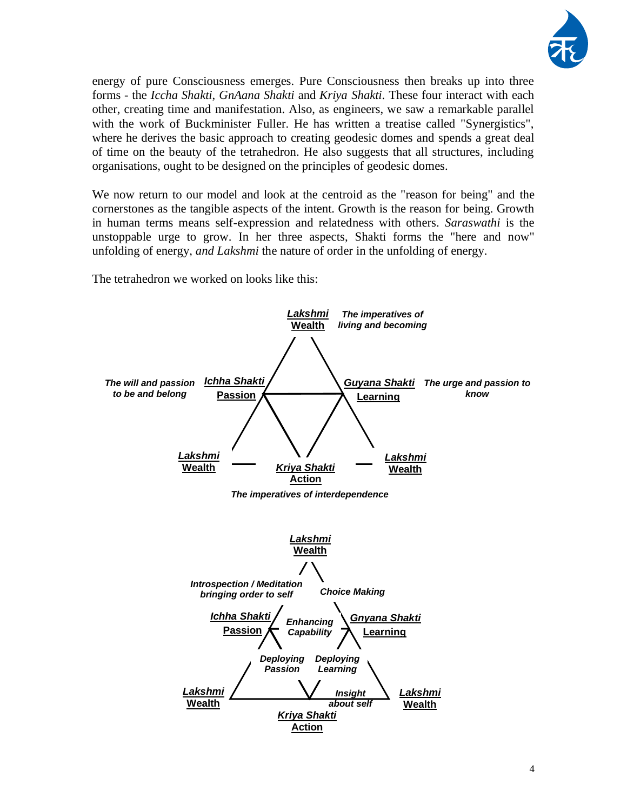

energy of pure Consciousness emerges. Pure Consciousness then breaks up into three forms - the *Iccha Shakti*, *GnAana Shakti* and *Kriya Shakti*. These four interact with each other, creating time and manifestation. Also, as engineers, we saw a remarkable parallel with the work of Buckminister Fuller. He has written a treatise called "Synergistics", where he derives the basic approach to creating geodesic domes and spends a great deal of time on the beauty of the tetrahedron. He also suggests that all structures, including organisations, ought to be designed on the principles of geodesic domes.

We now return to our model and look at the centroid as the "reason for being" and the cornerstones as the tangible aspects of the intent. Growth is the reason for being. Growth in human terms means self-expression and relatedness with others. *Saraswathi* is the unstoppable urge to grow. In her three aspects, Shakti forms the "here and now" unfolding of energy, *and Lakshmi* the nature of order in the unfolding of energy.

The tetrahedron we worked on looks like this:

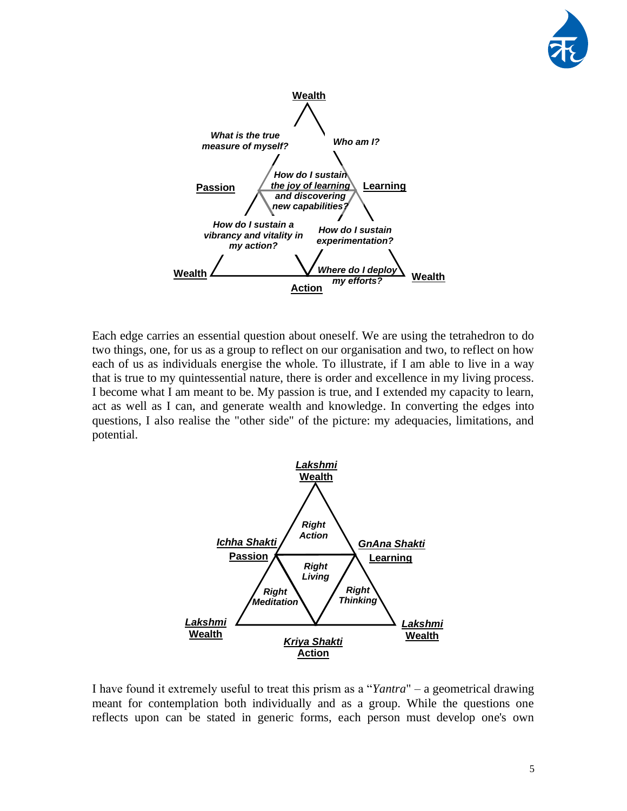



Each edge carries an essential question about oneself. We are using the tetrahedron to do two things, one, for us as a group to reflect on our organisation and two, to reflect on how each of us as individuals energise the whole. To illustrate, if I am able to live in a way that is true to my quintessential nature, there is order and excellence in my living process. I become what I am meant to be. My passion is true, and I extended my capacity to learn, act as well as I can, and generate wealth and knowledge. In converting the edges into questions, I also realise the "other side" of the picture: my adequacies, limitations, and potential.



I have found it extremely useful to treat this prism as a "*Yantra*" – a geometrical drawing meant for contemplation both individually and as a group. While the questions one reflects upon can be stated in generic forms, each person must develop one's own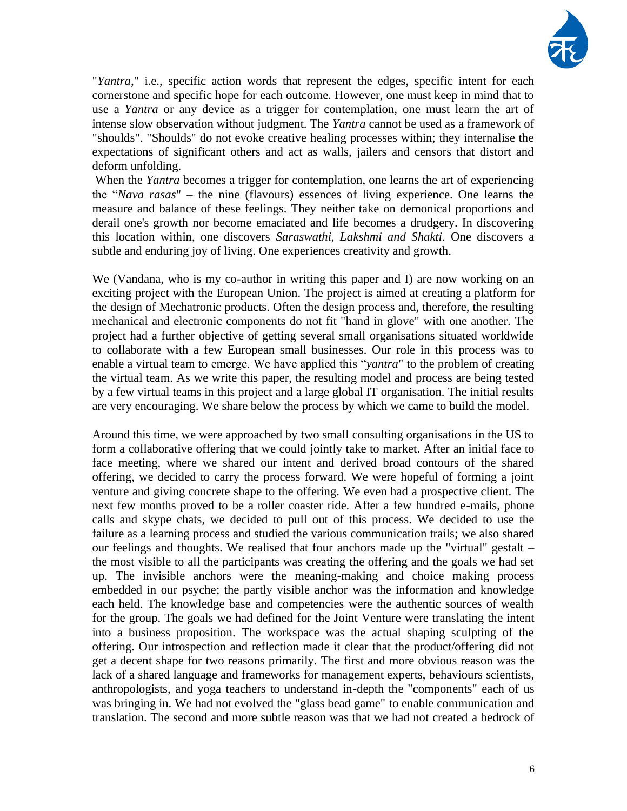

"*Yantra*," i.e., specific action words that represent the edges, specific intent for each cornerstone and specific hope for each outcome. However, one must keep in mind that to use a *Yantra* or any device as a trigger for contemplation, one must learn the art of intense slow observation without judgment. The *Yantra* cannot be used as a framework of "shoulds". "Shoulds" do not evoke creative healing processes within; they internalise the expectations of significant others and act as walls, jailers and censors that distort and deform unfolding.

When the *Yantra* becomes a trigger for contemplation, one learns the art of experiencing the "*Nava rasas*" – the nine (flavours) essences of living experience. One learns the measure and balance of these feelings. They neither take on demonical proportions and derail one's growth nor become emaciated and life becomes a drudgery. In discovering this location within, one discovers *Saraswathi, Lakshmi and Shakti*. One discovers a subtle and enduring joy of living. One experiences creativity and growth.

We (Vandana, who is my co-author in writing this paper and I) are now working on an exciting project with the European Union. The project is aimed at creating a platform for the design of Mechatronic products. Often the design process and, therefore, the resulting mechanical and electronic components do not fit "hand in glove" with one another. The project had a further objective of getting several small organisations situated worldwide to collaborate with a few European small businesses. Our role in this process was to enable a virtual team to emerge. We have applied this "*yantra*" to the problem of creating the virtual team. As we write this paper, the resulting model and process are being tested by a few virtual teams in this project and a large global IT organisation. The initial results are very encouraging. We share below the process by which we came to build the model.

Around this time, we were approached by two small consulting organisations in the US to form a collaborative offering that we could jointly take to market. After an initial face to face meeting, where we shared our intent and derived broad contours of the shared offering, we decided to carry the process forward. We were hopeful of forming a joint venture and giving concrete shape to the offering. We even had a prospective client. The next few months proved to be a roller coaster ride. After a few hundred e-mails, phone calls and skype chats, we decided to pull out of this process. We decided to use the failure as a learning process and studied the various communication trails; we also shared our feelings and thoughts. We realised that four anchors made up the "virtual" gestalt – the most visible to all the participants was creating the offering and the goals we had set up. The invisible anchors were the meaning-making and choice making process embedded in our psyche; the partly visible anchor was the information and knowledge each held. The knowledge base and competencies were the authentic sources of wealth for the group. The goals we had defined for the Joint Venture were translating the intent into a business proposition. The workspace was the actual shaping sculpting of the offering. Our introspection and reflection made it clear that the product/offering did not get a decent shape for two reasons primarily. The first and more obvious reason was the lack of a shared language and frameworks for management experts, behaviours scientists, anthropologists, and yoga teachers to understand in-depth the "components" each of us was bringing in. We had not evolved the "glass bead game" to enable communication and translation. The second and more subtle reason was that we had not created a bedrock of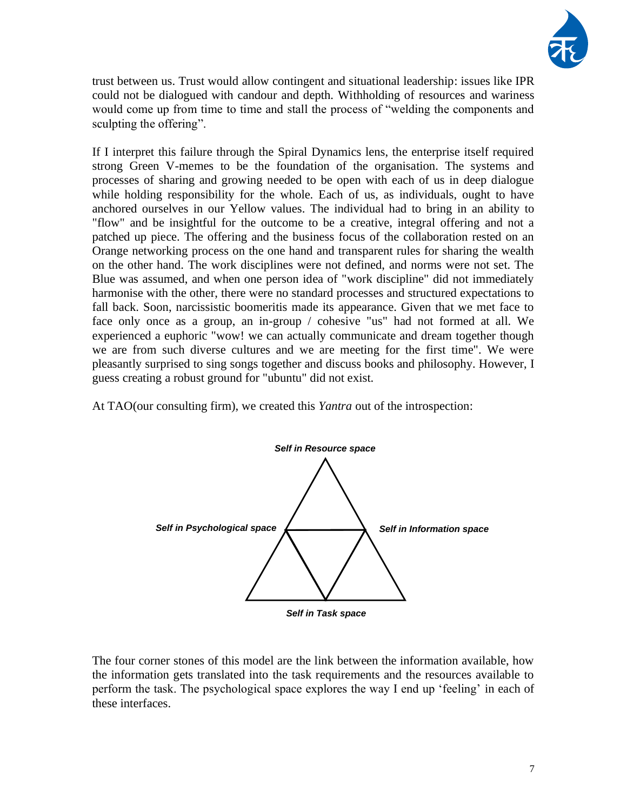

trust between us. Trust would allow contingent and situational leadership: issues like IPR could not be dialogued with candour and depth. Withholding of resources and wariness would come up from time to time and stall the process of "welding the components and sculpting the offering".

If I interpret this failure through the Spiral Dynamics lens, the enterprise itself required strong Green V-memes to be the foundation of the organisation. The systems and processes of sharing and growing needed to be open with each of us in deep dialogue while holding responsibility for the whole. Each of us, as individuals, ought to have anchored ourselves in our Yellow values. The individual had to bring in an ability to "flow" and be insightful for the outcome to be a creative, integral offering and not a patched up piece. The offering and the business focus of the collaboration rested on an Orange networking process on the one hand and transparent rules for sharing the wealth on the other hand. The work disciplines were not defined, and norms were not set. The Blue was assumed, and when one person idea of "work discipline" did not immediately harmonise with the other, there were no standard processes and structured expectations to fall back. Soon, narcissistic boomeritis made its appearance. Given that we met face to face only once as a group, an in-group / cohesive "us" had not formed at all. We experienced a euphoric "wow! we can actually communicate and dream together though we are from such diverse cultures and we are meeting for the first time". We were pleasantly surprised to sing songs together and discuss books and philosophy. However, I guess creating a robust ground for "ubuntu" did not exist.

At TAO(our consulting firm), we created this *Yantra* out of the introspection:



The four corner stones of this model are the link between the information available, how the information gets translated into the task requirements and the resources available to perform the task. The psychological space explores the way I end up 'feeling' in each of these interfaces.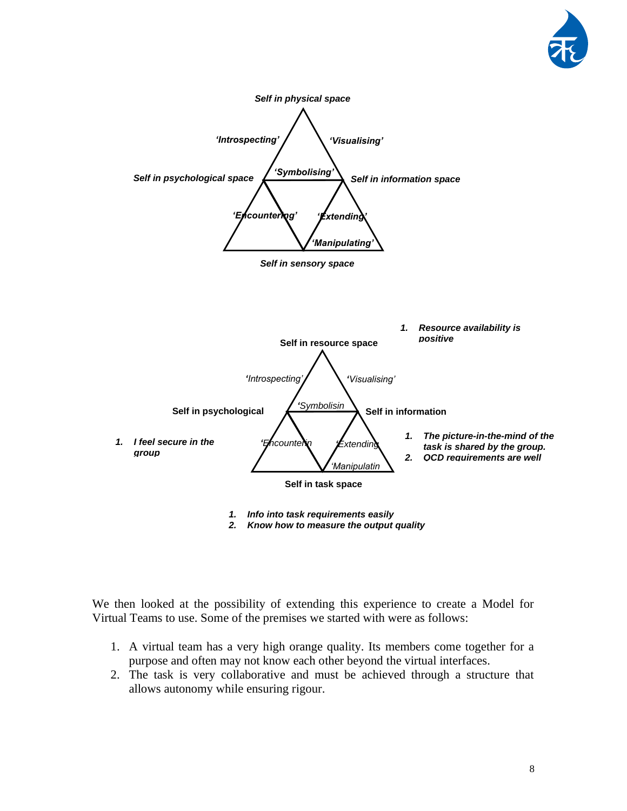



*1. Info into task requirements easily 2. Know how to measure the output quality* 

We then looked at the possibility of extending this experience to create a Model for Virtual Teams to use. Some of the premises we started with were as follows:

- 1. A virtual team has a very high orange quality. Its members come together for a purpose and often may not know each other beyond the virtual interfaces.
- 2. The task is very collaborative and must be achieved through a structure that allows autonomy while ensuring rigour.